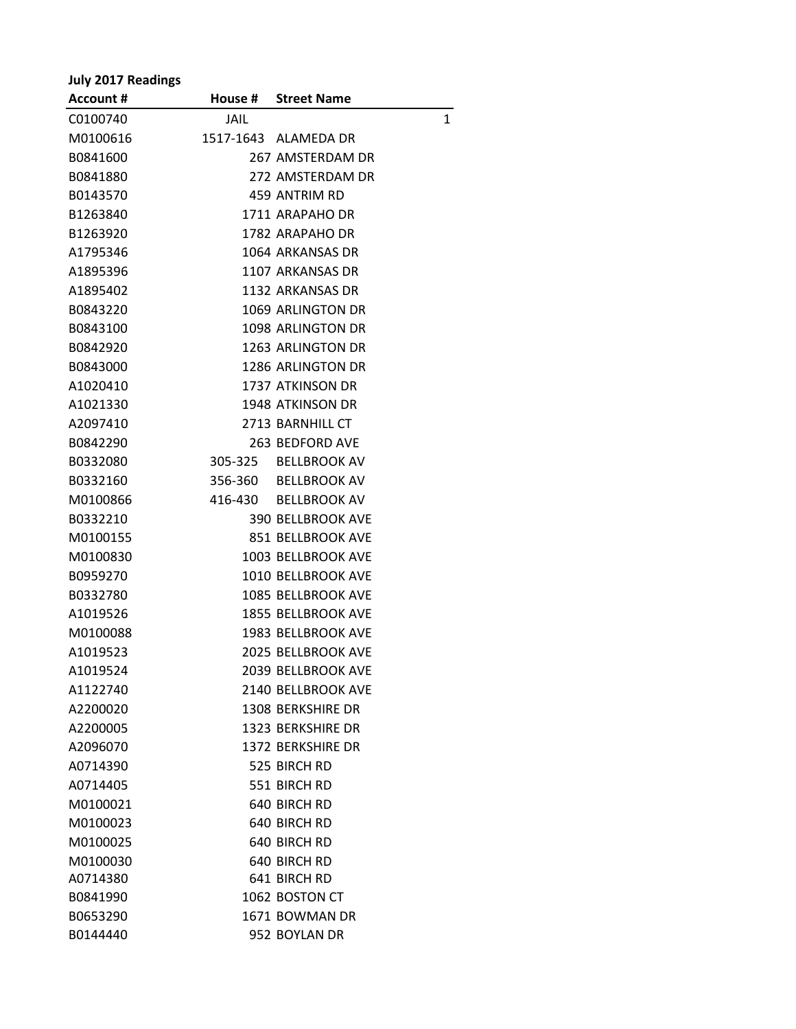## **July 2017 Readings**

| <b>Account #</b> |      | House # Street Name       |   |
|------------------|------|---------------------------|---|
| C0100740         | JAIL |                           | 1 |
| M0100616         |      | 1517-1643 ALAMEDA DR      |   |
| B0841600         |      | 267 AMSTERDAM DR          |   |
| B0841880         |      | 272 AMSTERDAM DR          |   |
| B0143570         |      | 459 ANTRIM RD             |   |
| B1263840         |      | 1711 ARAPAHO DR           |   |
| B1263920         |      | 1782 ARAPAHO DR           |   |
| A1795346         |      | 1064 ARKANSAS DR          |   |
| A1895396         |      | 1107 ARKANSAS DR          |   |
| A1895402         |      | 1132 ARKANSAS DR          |   |
| B0843220         |      | 1069 ARLINGTON DR         |   |
| B0843100         |      | 1098 ARLINGTON DR         |   |
| B0842920         |      | 1263 ARLINGTON DR         |   |
| B0843000         |      | 1286 ARLINGTON DR         |   |
| A1020410         |      | 1737 ATKINSON DR          |   |
| A1021330         |      | 1948 ATKINSON DR          |   |
| A2097410         |      | 2713 BARNHILL CT          |   |
| B0842290         |      | 263 BEDFORD AVE           |   |
| B0332080         |      | 305-325 BELLBROOK AV      |   |
| B0332160         |      | 356-360 BELLBROOK AV      |   |
| M0100866         |      | 416-430 BELLBROOK AV      |   |
| B0332210         |      | <b>390 BELLBROOK AVE</b>  |   |
| M0100155         |      | 851 BELLBROOK AVE         |   |
| M0100830         |      | 1003 BELLBROOK AVE        |   |
| B0959270         |      | 1010 BELLBROOK AVE        |   |
| B0332780         |      | <b>1085 BELLBROOK AVE</b> |   |
| A1019526         |      | <b>1855 BELLBROOK AVE</b> |   |
| M0100088         |      | <b>1983 BELLBROOK AVE</b> |   |
| A1019523         |      | <b>2025 BELLBROOK AVE</b> |   |
| A1019524         |      | 2039 BELLBROOK AVE        |   |
| A1122740         |      | 2140 BELLBROOK AVE        |   |
| A2200020         |      | 1308 BERKSHIRE DR         |   |
| A2200005         |      | 1323 BERKSHIRE DR         |   |
| A2096070         |      | 1372 BERKSHIRE DR         |   |
| A0714390         |      | 525 BIRCH RD              |   |
| A0714405         |      | 551 BIRCH RD              |   |
| M0100021         |      | 640 BIRCH RD              |   |
| M0100023         |      | 640 BIRCH RD              |   |
| M0100025         |      | 640 BIRCH RD              |   |
| M0100030         |      | 640 BIRCH RD              |   |
| A0714380         |      | 641 BIRCH RD              |   |
| B0841990         |      | 1062 BOSTON CT            |   |
| B0653290         |      | 1671 BOWMAN DR            |   |
| B0144440         |      | 952 BOYLAN DR             |   |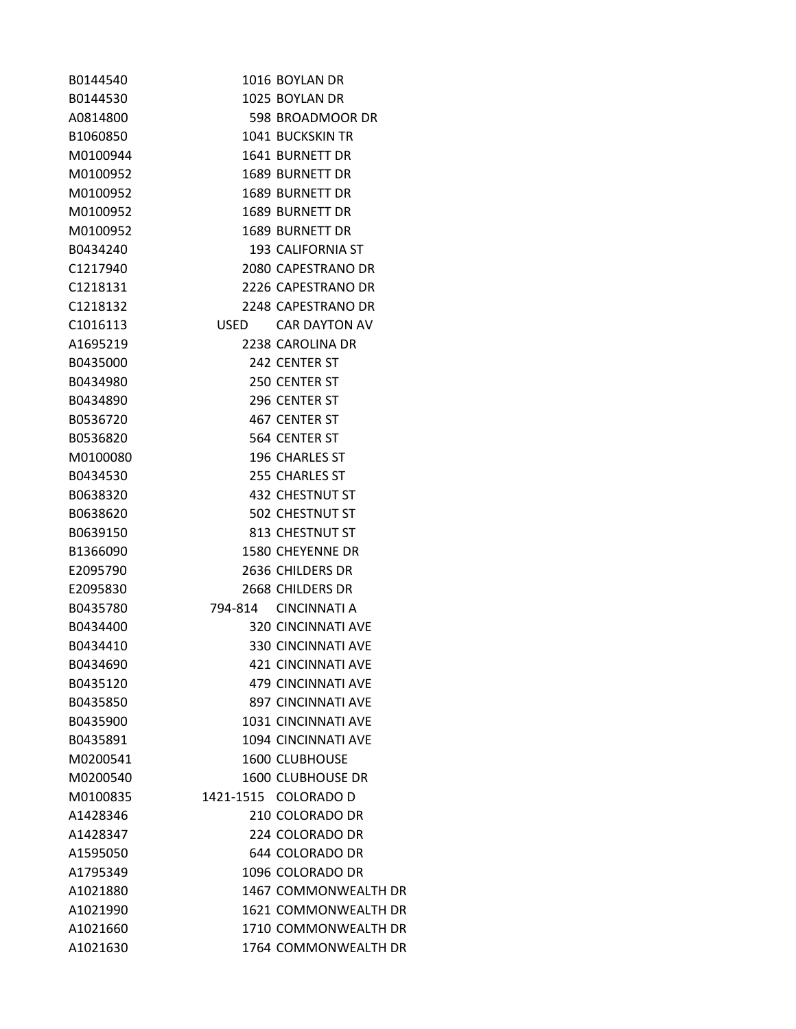| B0144540 |      | 1016 BOYLAN DR             |
|----------|------|----------------------------|
| B0144530 |      | 1025 BOYLAN DR             |
| A0814800 |      | 598 BROADMOOR DR           |
| B1060850 |      | <b>1041 BUCKSKIN TR</b>    |
| M0100944 |      | 1641 BURNETT DR            |
| M0100952 |      | 1689 BURNETT DR            |
| M0100952 |      | 1689 BURNETT DR            |
| M0100952 |      | 1689 BURNETT DR            |
| M0100952 |      | 1689 BURNETT DR            |
| B0434240 |      | 193 CALIFORNIA ST          |
| C1217940 |      | 2080 CAPESTRANO DR         |
| C1218131 |      | 2226 CAPESTRANO DR         |
| C1218132 |      | 2248 CAPESTRANO DR         |
| C1016113 | USED | CAR DAYTON AV              |
| A1695219 |      | 2238 CAROLINA DR           |
| B0435000 |      | 242 CENTER ST              |
| B0434980 |      | 250 CENTER ST              |
| B0434890 |      | 296 CENTER ST              |
| B0536720 |      | 467 CENTER ST              |
| B0536820 |      | 564 CENTER ST              |
| M0100080 |      | 196 CHARLES ST             |
| B0434530 |      | 255 CHARLES ST             |
| B0638320 |      | 432 CHESTNUT ST            |
| B0638620 |      | <b>502 CHESTNUT ST</b>     |
| B0639150 |      | 813 CHESTNUT ST            |
| B1366090 |      | 1580 CHEYENNE DR           |
| E2095790 |      | 2636 CHILDERS DR           |
| E2095830 |      | 2668 CHILDERS DR           |
| B0435780 |      | 794-814 CINCINNATI A       |
| B0434400 |      | <b>320 CINCINNATI AVE</b>  |
| B0434410 |      | <b>330 CINCINNATI AVE</b>  |
| B0434690 |      | <b>421 CINCINNATI AVE</b>  |
| B0435120 |      | <b>479 CINCINNATI AVE</b>  |
| B0435850 |      | <b>897 CINCINNATI AVE</b>  |
| B0435900 |      | <b>1031 CINCINNATI AVE</b> |
| B0435891 |      | 1094 CINCINNATI AVE        |
| M0200541 |      | <b>1600 CLUBHOUSE</b>      |
| M0200540 |      | <b>1600 CLUBHOUSE DR</b>   |
| M0100835 |      | 1421-1515 COLORADO D       |
| A1428346 |      | 210 COLORADO DR            |
| A1428347 |      | 224 COLORADO DR            |
| A1595050 |      | 644 COLORADO DR            |
| A1795349 |      | 1096 COLORADO DR           |
| A1021880 |      | 1467 COMMONWEALTH DR       |
| A1021990 |      | 1621 COMMONWEALTH DR       |
| A1021660 |      | 1710 COMMONWEALTH DR       |
| A1021630 |      | 1764 COMMONWEALTH DR       |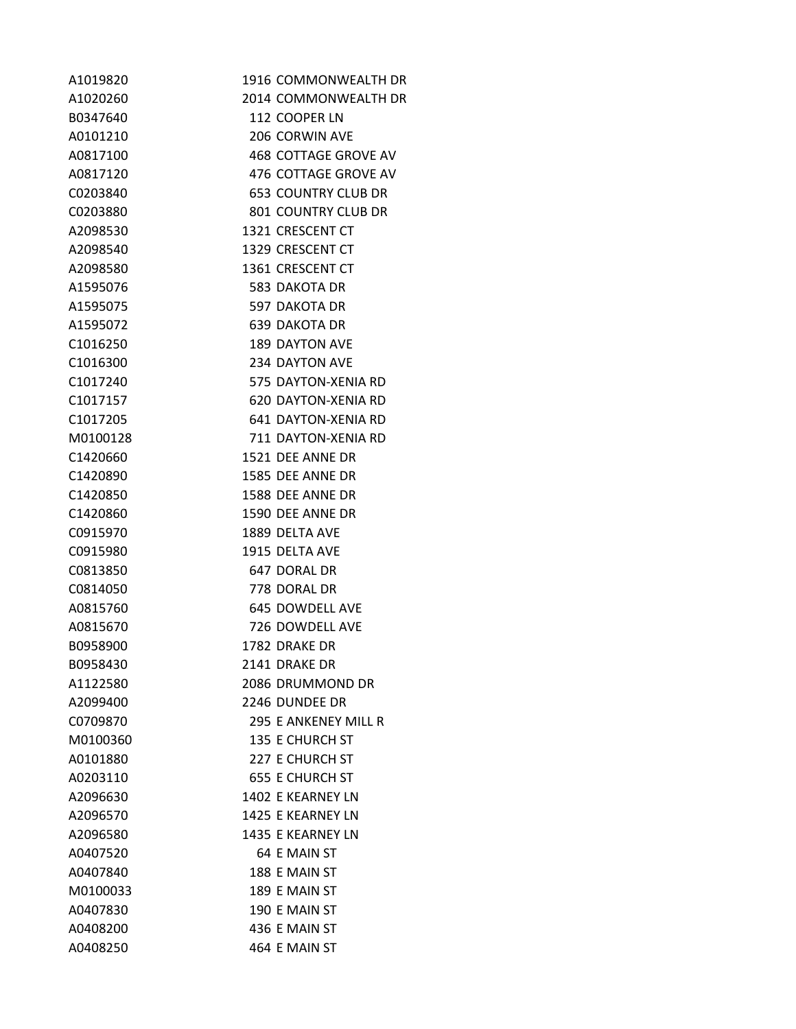| A1019820             | 1916 COMMONWEALTH DR       |
|----------------------|----------------------------|
| A1020260             | 2014 COMMONWEALTH DR       |
| B0347640             | 112 COOPER LN              |
| A0101210             | 206 CORWIN AVE             |
| A0817100             | 468 COTTAGE GROVE AV       |
| A0817120             | 476 COTTAGE GROVE AV       |
| C0203840             | <b>653 COUNTRY CLUB DR</b> |
| C0203880             | 801 COUNTRY CLUB DR        |
| A2098530             | 1321 CRESCENT CT           |
| A2098540             | 1329 CRESCENT CT           |
| A2098580             | 1361 CRESCENT CT           |
| A1595076             | 583 DAKOTA DR              |
| A1595075             | 597 DAKOTA DR              |
| A1595072             | 639 DAKOTA DR              |
| C1016250             | <b>189 DAYTON AVE</b>      |
| C <sub>1016300</sub> | 234 DAYTON AVE             |
| C1017240             | 575 DAYTON-XENIA RD        |
| C <sub>1017157</sub> | 620 DAYTON-XENIA RD        |
| C1017205             | 641 DAYTON-XENIA RD        |
| M0100128             | 711 DAYTON-XENIA RD        |
| C1420660             | 1521 DEE ANNE DR           |
| C1420890             | 1585 DEE ANNE DR           |
| C1420850             | 1588 DEE ANNE DR           |
| C1420860             | 1590 DEE ANNE DR           |
| C0915970             | 1889 DELTA AVE             |
| C0915980             | 1915 DELTA AVE             |
| C0813850             | 647 DORAL DR               |
| C0814050             | 778 DORAL DR               |
| A0815760             | 645 DOWDELL AVE            |
| A0815670             | 726 DOWDELL AVE            |
| B0958900             | 1782 DRAKE DR              |
| B0958430             | 2141 DRAKE DR              |
| A1122580             | 2086 DRUMMOND DR           |
| A2099400             | 2246 DUNDEE DR             |
| C0709870             | 295 E ANKENEY MILL R       |
| M0100360             | <b>135 E CHURCH ST</b>     |
| A0101880             | 227 E CHURCH ST            |
| A0203110             | <b>655 E CHURCH ST</b>     |
| A2096630             | 1402 E KEARNEY LN          |
| A2096570             | 1425 E KEARNEY LN          |
| A2096580             | 1435 E KEARNEY LN          |
| A0407520             | 64 E MAIN ST               |
| A0407840             | 188 E MAIN ST              |
| M0100033             | 189 E MAIN ST              |
| A0407830             | 190 E MAIN ST              |
| A0408200             | 436 E MAIN ST              |
| A0408250             | 464 E MAIN ST              |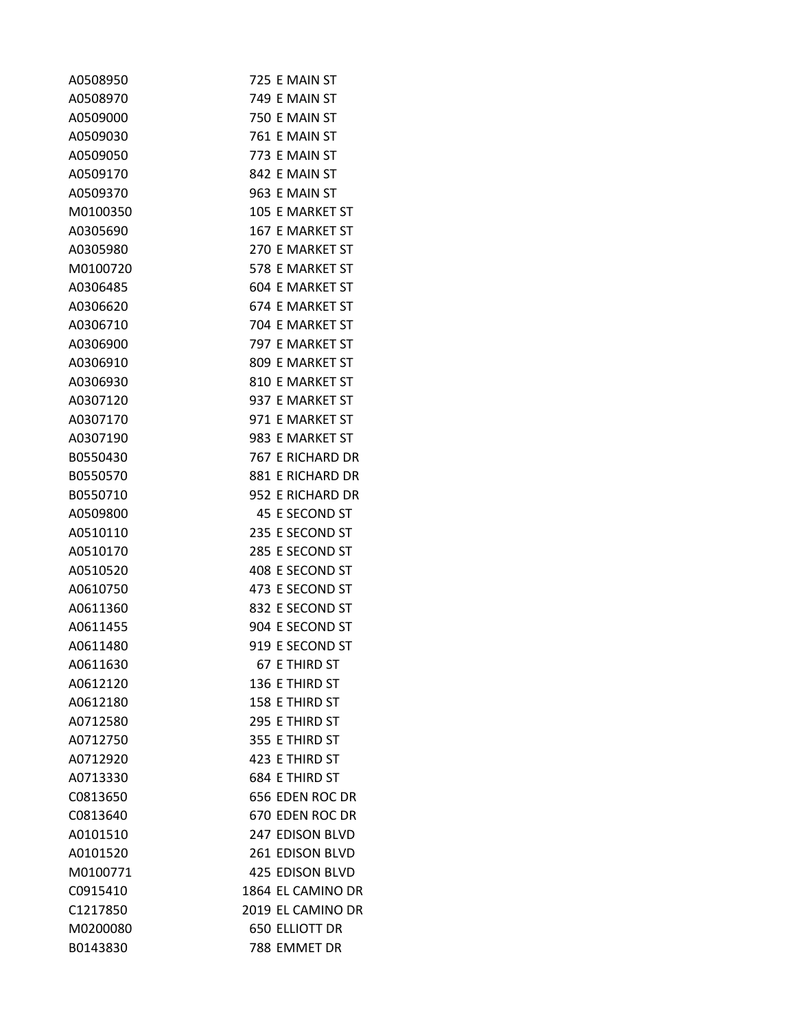| A0508950 | 725 E MAIN ST          |
|----------|------------------------|
| A0508970 | 749 E MAIN ST          |
| A0509000 | 750 E MAIN ST          |
| A0509030 | 761 E MAIN ST          |
| A0509050 | 773 E MAIN ST          |
| A0509170 | 842 E MAIN ST          |
| A0509370 | 963 E MAIN ST          |
| M0100350 | 105 E MARKET ST        |
| A0305690 | 167 E MARKET ST        |
| A0305980 | 270 E MARKET ST        |
| M0100720 | 578 E MARKET ST        |
| A0306485 | 604 E MARKET ST        |
| A0306620 | 674 E MARKET ST        |
| A0306710 | 704 E MARKET ST        |
| A0306900 | 797 E MARKET ST        |
| A0306910 | 809 E MARKET ST        |
| A0306930 | 810 E MARKET ST        |
| A0307120 | 937 E MARKET ST        |
| A0307170 | 971 E MARKET ST        |
| A0307190 | 983 E MARKET ST        |
| B0550430 | 767 E RICHARD DR       |
| B0550570 | 881 E RICHARD DR       |
| B0550710 | 952 E RICHARD DR       |
| A0509800 | 45 E SECOND ST         |
| A0510110 | 235 E SECOND ST        |
| A0510170 | 285 E SECOND ST        |
| A0510520 | 408 E SECOND ST        |
| A0610750 | 473 E SECOND ST        |
| A0611360 | 832 E SECOND ST        |
| A0611455 | 904 E SECOND ST        |
| A0611480 | 919 E SECOND ST        |
| A0611630 | 67 E THIRD ST          |
| A0612120 | 136 E THIRD ST         |
| A0612180 | 158 E THIRD ST         |
| A0712580 | 295 E THIRD ST         |
| A0712750 | 355 E THIRD ST         |
| A0712920 | 423 E THIRD ST         |
| A0713330 | 684 E THIRD ST         |
| C0813650 | 656 EDEN ROC DR        |
| C0813640 | 670 EDEN ROC DR        |
| A0101510 | 247 EDISON BLVD        |
| A0101520 | 261 EDISON BLVD        |
| M0100771 | <b>425 EDISON BLVD</b> |
| C0915410 | 1864 EL CAMINO DR      |
| C1217850 | 2019 EL CAMINO DR      |
| M0200080 | <b>650 ELLIOTT DR</b>  |
| B0143830 | 788 EMMET DR           |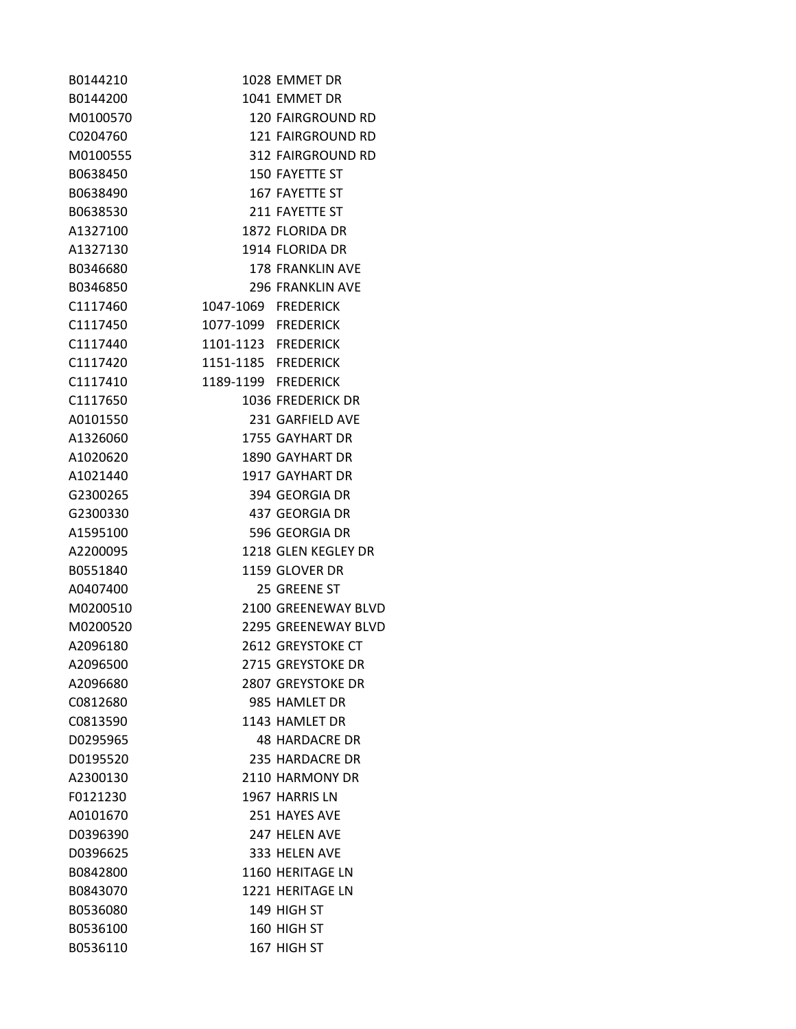| B0144210 |                     | 1028 EMMET DR            |
|----------|---------------------|--------------------------|
| B0144200 |                     | 1041 EMMET DR            |
| M0100570 |                     | <b>120 FAIRGROUND RD</b> |
| C0204760 |                     | 121 FAIRGROUND RD        |
| M0100555 |                     | 312 FAIRGROUND RD        |
| B0638450 |                     | 150 FAYETTE ST           |
| B0638490 |                     | 167 FAYETTE ST           |
| B0638530 |                     | 211 FAYETTE ST           |
| A1327100 |                     | 1872 FLORIDA DR          |
| A1327130 |                     | 1914 FLORIDA DR          |
| B0346680 |                     | 178 FRANKLIN AVE         |
| B0346850 |                     | <b>296 FRANKLIN AVE</b>  |
| C1117460 | 1047-1069 FREDERICK |                          |
| C1117450 | 1077-1099 FREDERICK |                          |
| C1117440 | 1101-1123 FREDERICK |                          |
| C1117420 | 1151-1185 FREDERICK |                          |
| C1117410 | 1189-1199 FREDERICK |                          |
| C1117650 |                     | 1036 FREDERICK DR        |
| A0101550 |                     | 231 GARFIELD AVE         |
| A1326060 |                     | 1755 GAYHART DR          |
| A1020620 |                     | <b>1890 GAYHART DR</b>   |
| A1021440 |                     | 1917 GAYHART DR          |
| G2300265 |                     | 394 GEORGIA DR           |
| G2300330 |                     | 437 GEORGIA DR           |
| A1595100 |                     | 596 GEORGIA DR           |
| A2200095 |                     | 1218 GLEN KEGLEY DR      |
| B0551840 |                     | 1159 GLOVER DR           |
| A0407400 |                     | 25 GREENE ST             |
| M0200510 |                     | 2100 GREENEWAY BLVD      |
| M0200520 |                     | 2295 GREENEWAY BLVD      |
| A2096180 |                     | 2612 GREYSTOKE CT        |
| A2096500 |                     | 2715 GREYSTOKE DR        |
| A2096680 |                     | 2807 GREYSTOKE DR        |
| C0812680 |                     | 985 HAMLET DR            |
| C0813590 |                     | 1143 HAMLET DR           |
| D0295965 |                     | <b>48 HARDACRE DR</b>    |
| D0195520 |                     | 235 HARDACRE DR          |
| A2300130 |                     | 2110 HARMONY DR          |
| F0121230 |                     | 1967 HARRIS LN           |
| A0101670 |                     | 251 HAYES AVE            |
| D0396390 |                     | 247 HELEN AVE            |
| D0396625 |                     | 333 HELEN AVE            |
| B0842800 |                     | 1160 HERITAGE LN         |
| B0843070 |                     | 1221 HERITAGE LN         |
| B0536080 |                     | 149 HIGH ST              |
| B0536100 |                     | 160 HIGH ST              |
| B0536110 |                     | 167 HIGH ST              |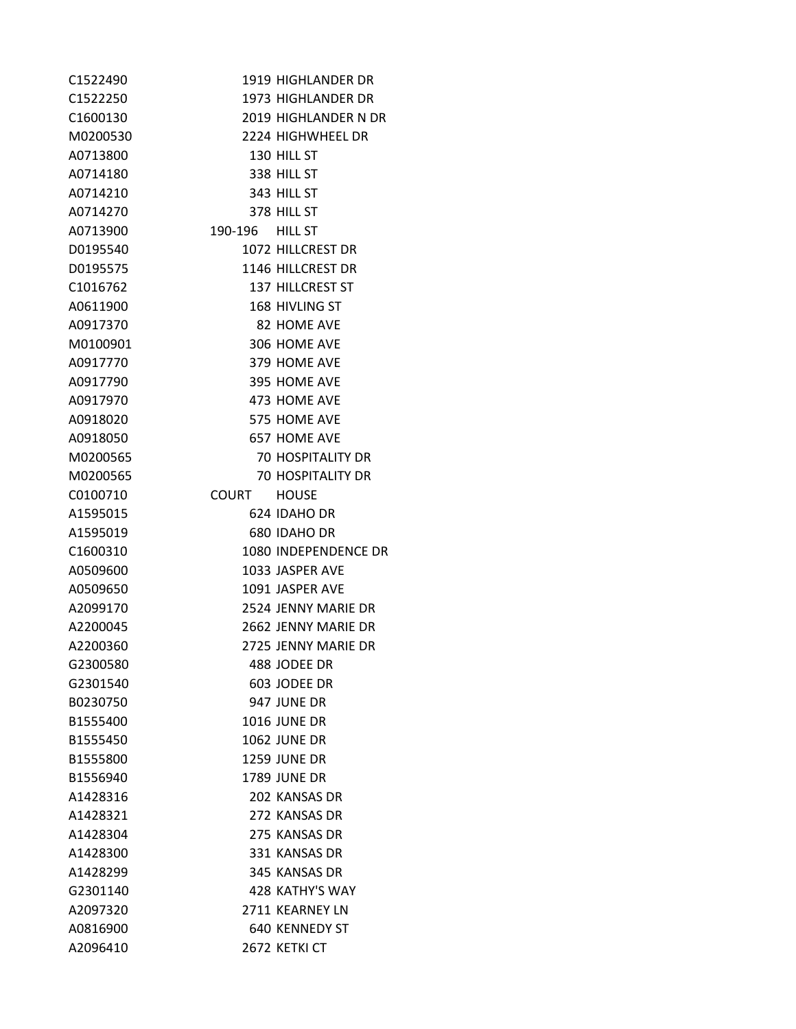| C1522490             |                 | 1919 HIGHLANDER DR       |
|----------------------|-----------------|--------------------------|
| C <sub>1522250</sub> |                 | 1973 HIGHLANDER DR       |
| C <sub>1600130</sub> |                 | 2019 HIGHLANDER N DR     |
| M0200530             |                 | 2224 HIGHWHEEL DR        |
| A0713800             |                 | 130 HILL ST              |
| A0714180             |                 | 338 HILL ST              |
| A0714210             |                 | 343 HILL ST              |
| A0714270             |                 | 378 HILL ST              |
| A0713900             | 190-196 HILL ST |                          |
| D0195540             |                 | 1072 HILLCREST DR        |
| D0195575             |                 | 1146 HILLCREST DR        |
| C1016762             |                 | <b>137 HILLCREST ST</b>  |
| A0611900             |                 | 168 HIVLING ST           |
| A0917370             |                 | 82 HOME AVE              |
| M0100901             |                 | 306 HOME AVE             |
| A0917770             |                 | 379 HOME AVE             |
| A0917790             |                 | 395 HOME AVE             |
| A0917970             |                 | 473 HOME AVE             |
| A0918020             |                 | 575 HOME AVE             |
| A0918050             |                 | 657 HOME AVE             |
| M0200565             |                 | <b>70 HOSPITALITY DR</b> |
| M0200565             |                 | <b>70 HOSPITALITY DR</b> |
| C0100710             | COURT HOUSE     |                          |
| A1595015             |                 | 624 IDAHO DR             |
| A1595019             |                 | 680 IDAHO DR             |
| C1600310             |                 | 1080 INDEPENDENCE DR     |
| A0509600             |                 | 1033 JASPER AVE          |
| A0509650             |                 | 1091 JASPER AVE          |
| A2099170             |                 | 2524 JENNY MARIE DR      |
| A2200045             |                 | 2662 JENNY MARIE DR      |
| A2200360             |                 | 2725 JENNY MARIE DR      |
| G2300580             |                 | 488 JODEE DR             |
| G2301540             |                 | 603 JODEE DR             |
| B0230750             |                 | 947 JUNE DR              |
| B1555400             |                 | <b>1016 JUNE DR</b>      |
| B1555450             |                 | 1062 JUNE DR             |
| B1555800             |                 | <b>1259 JUNE DR</b>      |
| B1556940             |                 | <b>1789 JUNE DR</b>      |
| A1428316             |                 | 202 KANSAS DR            |
| A1428321             |                 | 272 KANSAS DR            |
| A1428304             |                 | 275 KANSAS DR            |
| A1428300             |                 | 331 KANSAS DR            |
| A1428299             |                 | 345 KANSAS DR            |
| G2301140             |                 | 428 KATHY'S WAY          |
| A2097320             |                 | 2711 KEARNEY LN          |
| A0816900             |                 | 640 KENNEDY ST           |
| A2096410             |                 | 2672 KETKI CT            |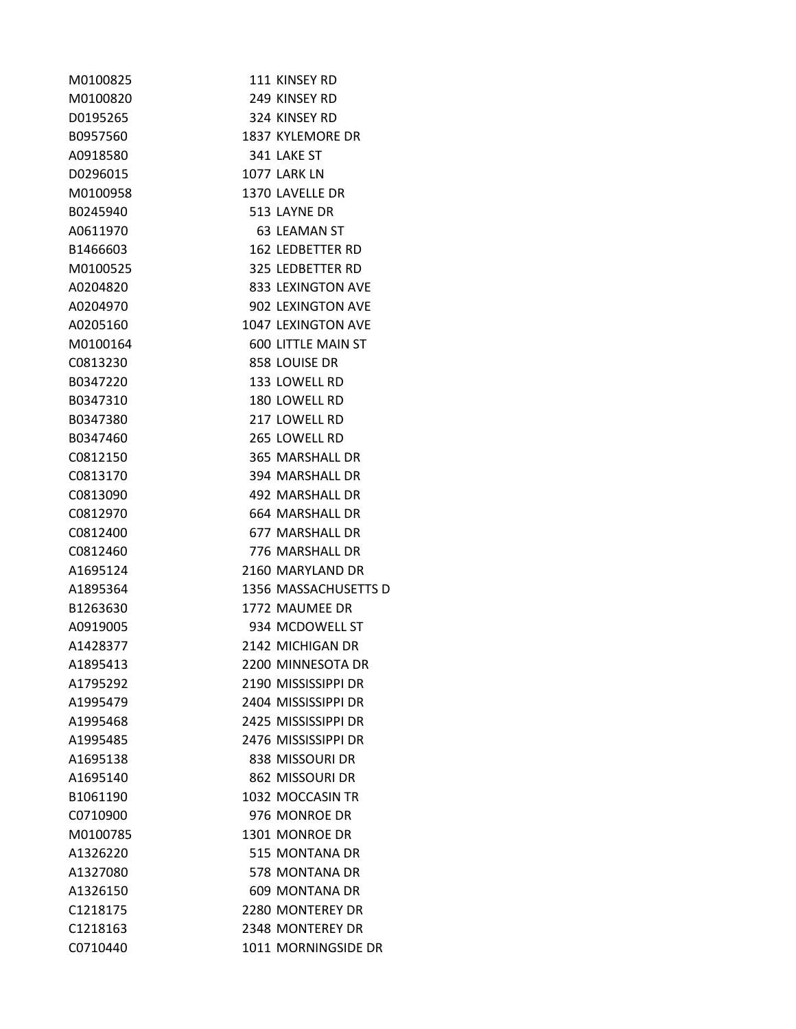| M0100825 | 111 KINSEY RD        |
|----------|----------------------|
| M0100820 | 249 KINSEY RD        |
| D0195265 | 324 KINSEY RD        |
| B0957560 | 1837 KYLEMORE DR     |
| A0918580 | 341 LAKE ST          |
| D0296015 | 1077 LARK LN         |
| M0100958 | 1370 LAVELLE DR      |
| B0245940 | 513 LAYNE DR         |
| A0611970 | 63 LEAMAN ST         |
| B1466603 | 162 LEDBETTER RD     |
| M0100525 | 325 LEDBETTER RD     |
| A0204820 | 833 LEXINGTON AVE    |
| A0204970 | 902 LEXINGTON AVE    |
| A0205160 | 1047 LEXINGTON AVE   |
| M0100164 | 600 LITTLE MAIN ST   |
| C0813230 | 858 LOUISE DR        |
| B0347220 | 133 LOWELL RD        |
| B0347310 | 180 LOWELL RD        |
| B0347380 | 217 LOWELL RD        |
| B0347460 | 265 LOWELL RD        |
| C0812150 | 365 MARSHALL DR      |
| C0813170 | 394 MARSHALL DR      |
| C0813090 | 492 MARSHALL DR      |
| C0812970 | 664 MARSHALL DR      |
| C0812400 | 677 MARSHALL DR      |
| C0812460 | 776 MARSHALL DR      |
| A1695124 | 2160 MARYLAND DR     |
| A1895364 | 1356 MASSACHUSETTS D |
| B1263630 | 1772 MAUMEE DR       |
| A0919005 | 934 MCDOWELL ST      |
| A1428377 | 2142 MICHIGAN DR     |
| A1895413 | 2200 MINNESOTA DR    |
| A1795292 | 2190 MISSISSIPPI DR  |
| A1995479 | 2404 MISSISSIPPI DR  |
| A1995468 | 2425 MISSISSIPPI DR  |
| A1995485 | 2476 MISSISSIPPI DR  |
| A1695138 | 838 MISSOURI DR      |
| A1695140 | 862 MISSOURI DR      |
| B1061190 | 1032 MOCCASIN TR     |
| C0710900 | 976 MONROE DR        |
| M0100785 | 1301 MONROE DR       |
| A1326220 | 515 MONTANA DR       |
| A1327080 | 578 MONTANA DR       |
| A1326150 | 609 MONTANA DR       |
| C1218175 | 2280 MONTEREY DR     |
| C1218163 | 2348 MONTEREY DR     |
| C0710440 | 1011 MORNINGSIDE DR  |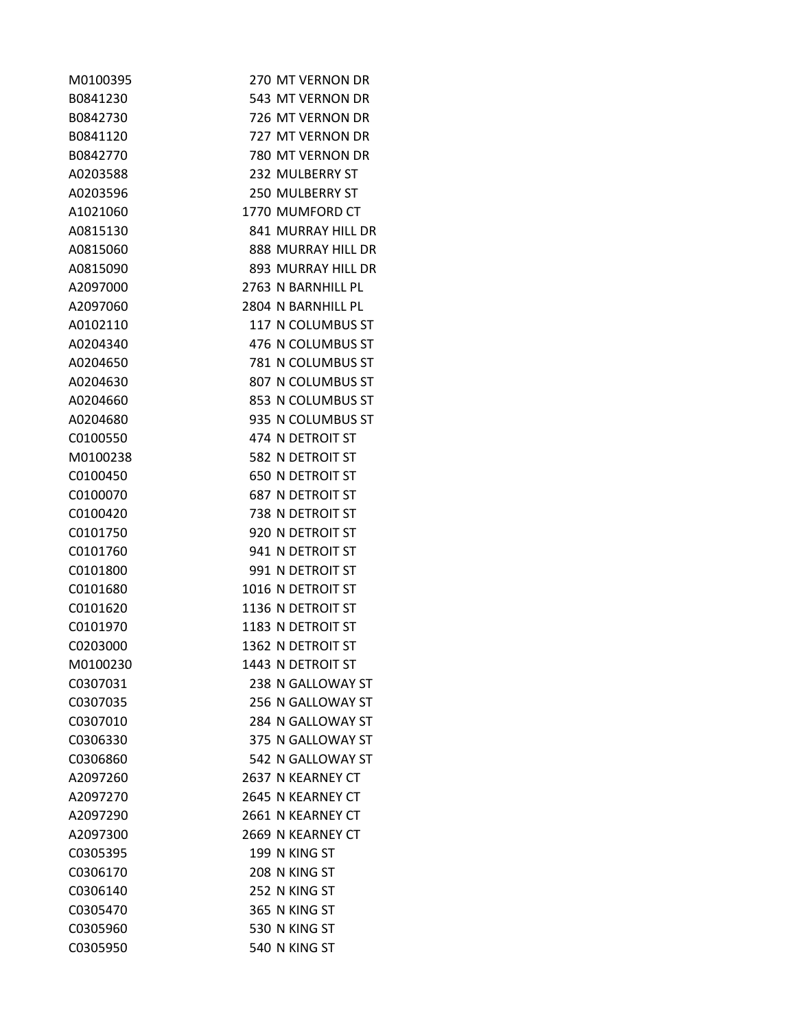| M0100395 | 270 MT VERNON DR        |
|----------|-------------------------|
| B0841230 | 543 MT VERNON DR        |
| B0842730 | 726 MT VERNON DR        |
| B0841120 | 727 MT VERNON DR        |
| B0842770 | 780 MT VERNON DR        |
| A0203588 | 232 MULBERRY ST         |
| A0203596 | <b>250 MULBERRY ST</b>  |
| A1021060 | 1770 MUMFORD CT         |
| A0815130 | 841 MURRAY HILL DR      |
| A0815060 | 888 MURRAY HILL DR      |
| A0815090 | 893 MURRAY HILL DR      |
| A2097000 | 2763 N BARNHILL PL      |
| A2097060 | 2804 N BARNHILL PL      |
| A0102110 | 117 N COLUMBUS ST       |
| A0204340 | 476 N COLUMBUS ST       |
| A0204650 | 781 N COLUMBUS ST       |
| A0204630 | 807 N COLUMBUS ST       |
| A0204660 | 853 N COLUMBUS ST       |
| A0204680 | 935 N COLUMBUS ST       |
| C0100550 | 474 N DETROIT ST        |
| M0100238 | 582 N DETROIT ST        |
| C0100450 | <b>650 N DETROIT ST</b> |
| C0100070 | <b>687 N DETROIT ST</b> |
| C0100420 | 738 N DETROIT ST        |
| C0101750 | 920 N DETROIT ST        |
| C0101760 | 941 N DETROIT ST        |
| C0101800 | 991 N DETROIT ST        |
| C0101680 | 1016 N DETROIT ST       |
| C0101620 | 1136 N DETROIT ST       |
| C0101970 | 1183 N DETROIT ST       |
| C0203000 | 1362 N DETROIT ST       |
| M0100230 | 1443 N DETROIT ST       |
| C0307031 | 238 N GALLOWAY ST       |
| C0307035 | 256 N GALLOWAY ST       |
| C0307010 | 284 N GALLOWAY ST       |
| C0306330 | 375 N GALLOWAY ST       |
| C0306860 | 542 N GALLOWAY ST       |
| A2097260 | 2637 N KEARNEY CT       |
| A2097270 | 2645 N KEARNEY CT       |
| A2097290 | 2661 N KEARNEY CT       |
| A2097300 | 2669 N KEARNEY CT       |
| C0305395 | 199 N KING ST           |
| C0306170 | 208 N KING ST           |
| C0306140 | 252 N KING ST           |
| C0305470 | 365 N KING ST           |
| C0305960 | 530 N KING ST           |
| C0305950 | 540 N KING ST           |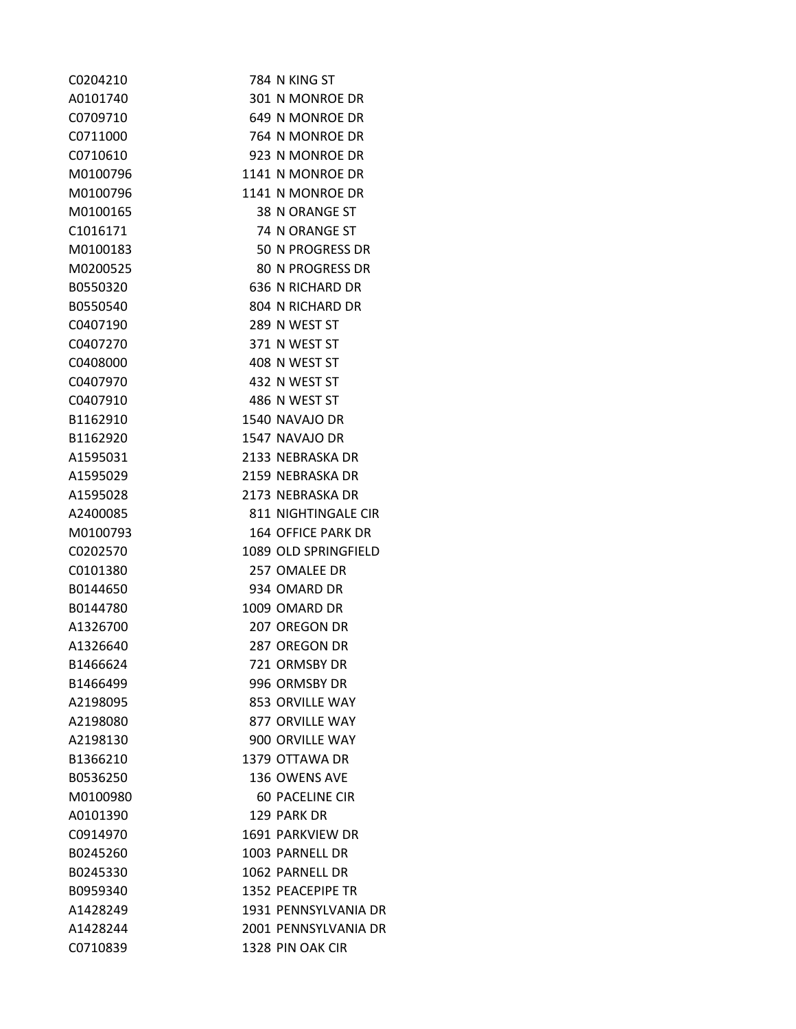| C0204210 | 784 N KING ST          |
|----------|------------------------|
| A0101740 | 301 N MONROE DR        |
| C0709710 | 649 N MONROE DR        |
| C0711000 | 764 N MONROE DR        |
| C0710610 | 923 N MONROE DR        |
| M0100796 | 1141 N MONROE DR       |
| M0100796 | 1141 N MONROE DR       |
| M0100165 | 38 N ORANGE ST         |
| C1016171 | 74 N ORANGE ST         |
| M0100183 | 50 N PROGRESS DR       |
| M0200525 | 80 N PROGRESS DR       |
| B0550320 | 636 N RICHARD DR       |
| B0550540 | 804 N RICHARD DR       |
| C0407190 | 289 N WEST ST          |
| C0407270 | 371 N WEST ST          |
| C0408000 | 408 N WEST ST          |
| C0407970 | 432 N WEST ST          |
| C0407910 | 486 N WEST ST          |
| B1162910 | 1540 NAVAJO DR         |
| B1162920 | 1547 NAVAJO DR         |
| A1595031 | 2133 NEBRASKA DR       |
| A1595029 | 2159 NEBRASKA DR       |
| A1595028 | 2173 NEBRASKA DR       |
| A2400085 | 811 NIGHTINGALE CIR    |
| M0100793 | 164 OFFICE PARK DR     |
| C0202570 | 1089 OLD SPRINGFIELD   |
| C0101380 | 257 OMALEE DR          |
| B0144650 | 934 OMARD DR           |
| B0144780 | 1009 OMARD DR          |
| A1326700 | 207 OREGON DR          |
| A1326640 | 287 OREGON DR          |
| B1466624 | 721 ORMSBY DR          |
| B1466499 | 996 ORMSBY DR          |
| A2198095 | 853 ORVILLE WAY        |
| A2198080 | 877 ORVILLE WAY        |
| A2198130 | 900 ORVILLE WAY        |
| B1366210 | 1379 OTTAWA DR         |
| B0536250 | 136 OWENS AVE          |
| M0100980 | <b>60 PACELINE CIR</b> |
| A0101390 | 129 PARK DR            |
| C0914970 | 1691 PARKVIEW DR       |
| B0245260 | 1003 PARNELL DR        |
| B0245330 | 1062 PARNELL DR        |
| B0959340 | 1352 PEACEPIPE TR      |
| A1428249 | 1931 PENNSYLVANIA DR   |
| A1428244 | 2001 PENNSYLVANIA DR   |
| C0710839 | 1328 PIN OAK CIR       |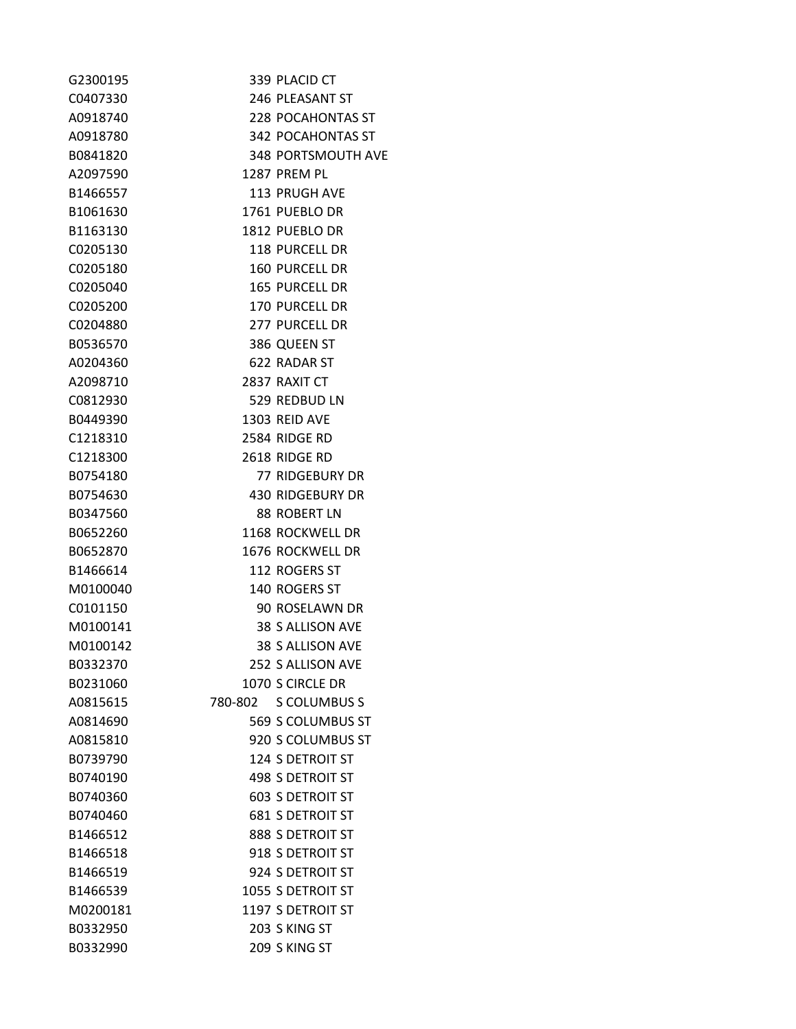| G2300195 | 339 PLACID CT             |
|----------|---------------------------|
| C0407330 | 246 PLEASANT ST           |
| A0918740 | 228 POCAHONTAS ST         |
| A0918780 | 342 POCAHONTAS ST         |
| B0841820 | <b>348 PORTSMOUTH AVE</b> |
| A2097590 | 1287 PREM PL              |
| B1466557 | 113 PRUGH AVE             |
| B1061630 | 1761 PUEBLO DR            |
| B1163130 | 1812 PUEBLO DR            |
| C0205130 | <b>118 PURCELL DR</b>     |
| C0205180 | <b>160 PURCELL DR</b>     |
| C0205040 | <b>165 PURCELL DR</b>     |
| C0205200 | 170 PURCELL DR            |
| C0204880 | 277 PURCELL DR            |
| B0536570 | 386 QUEEN ST              |
| A0204360 | 622 RADAR ST              |
| A2098710 | 2837 RAXIT CT             |
| C0812930 | 529 REDBUD LN             |
| B0449390 | 1303 REID AVE             |
| C1218310 | 2584 RIDGE RD             |
| C1218300 | 2618 RIDGE RD             |
| B0754180 | 77 RIDGEBURY DR           |
| B0754630 | <b>430 RIDGEBURY DR</b>   |
| B0347560 | 88 ROBERT LN              |
| B0652260 | 1168 ROCKWELL DR          |
| B0652870 | 1676 ROCKWELL DR          |
| B1466614 | 112 ROGERS ST             |
| M0100040 | 140 ROGERS ST             |
| C0101150 | 90 ROSELAWN DR            |
| M0100141 | 38 S ALLISON AVE          |
| M0100142 | 38 S ALLISON AVE          |
| B0332370 | 252 S ALLISON AVE         |
| B0231060 | 1070 S CIRCLE DR          |
| A0815615 | 780-802 S COLUMBUS S      |
| A0814690 | 569 S COLUMBUS ST         |
| A0815810 | 920 S COLUMBUS ST         |
| B0739790 | <b>124 S DETROIT ST</b>   |
| B0740190 | <b>498 S DETROIT ST</b>   |
| B0740360 | <b>603 S DETROIT ST</b>   |
| B0740460 | <b>681 S DETROIT ST</b>   |
| B1466512 | 888 S DETROIT ST          |
| B1466518 | 918 S DETROIT ST          |
| B1466519 | 924 S DETROIT ST          |
| B1466539 | 1055 S DETROIT ST         |
| M0200181 | 1197 S DETROIT ST         |
| B0332950 | 203 S KING ST             |
| B0332990 | 209 S KING ST             |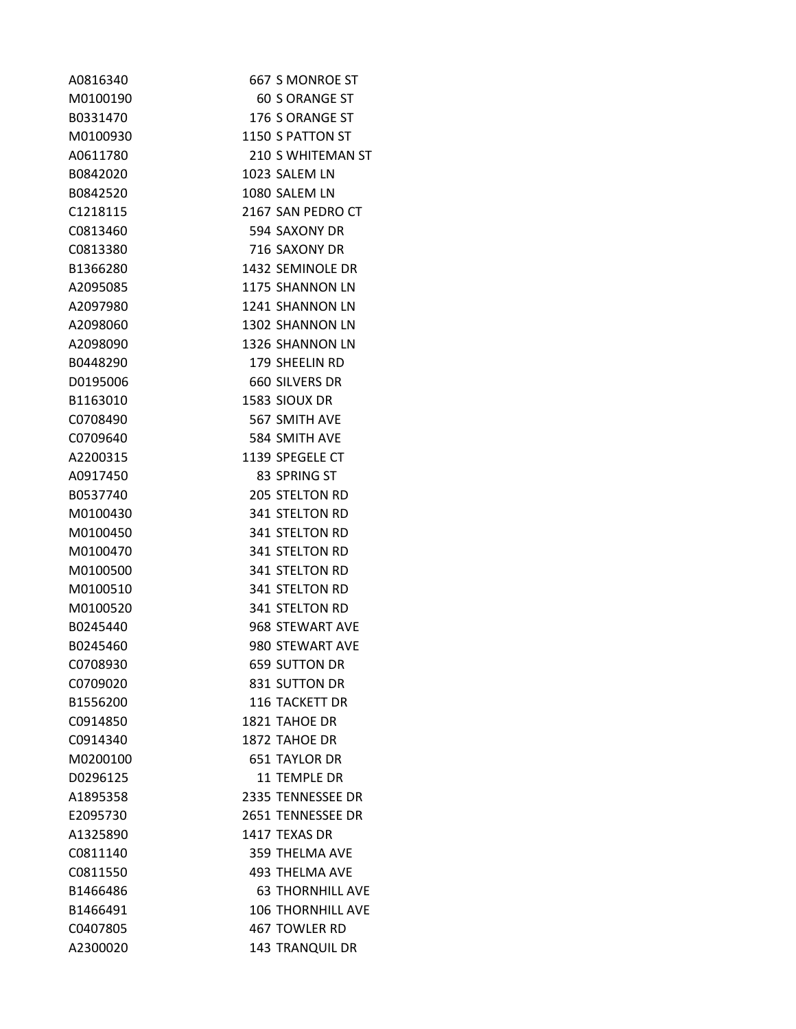| A0816340 | 667 S MONROE ST          |
|----------|--------------------------|
| M0100190 | <b>60 S ORANGE ST</b>    |
| B0331470 | 176 S ORANGE ST          |
| M0100930 | 1150 S PATTON ST         |
| A0611780 | 210 S WHITEMAN ST        |
| B0842020 | 1023 SALEM LN            |
| B0842520 | 1080 SALEM LN            |
| C1218115 | 2167 SAN PEDRO CT        |
| C0813460 | 594 SAXONY DR            |
| C0813380 | 716 SAXONY DR            |
| B1366280 | 1432 SEMINOLE DR         |
| A2095085 | 1175 SHANNON LN          |
| A2097980 | 1241 SHANNON LN          |
| A2098060 | 1302 SHANNON LN          |
| A2098090 | 1326 SHANNON LN          |
| B0448290 | 179 SHEELIN RD           |
| D0195006 | 660 SILVERS DR           |
| B1163010 | 1583 SIOUX DR            |
| C0708490 | 567 SMITH AVE            |
| C0709640 | 584 SMITH AVE            |
| A2200315 | 1139 SPEGELE CT          |
| A0917450 | 83 SPRING ST             |
| B0537740 | <b>205 STELTON RD</b>    |
| M0100430 | <b>341 STELTON RD</b>    |
| M0100450 | 341 STELTON RD           |
| M0100470 | 341 STELTON RD           |
| M0100500 | <b>341 STELTON RD</b>    |
| M0100510 | <b>341 STELTON RD</b>    |
| M0100520 | <b>341 STELTON RD</b>    |
| B0245440 | 968 STEWART AVE          |
| B0245460 | 980 STEWART AVE          |
| C0708930 | <b>659 SUTTON DR</b>     |
| C0709020 | 831 SUTTON DR            |
| B1556200 | <b>116 TACKETT DR</b>    |
| C0914850 | 1821 TAHOE DR            |
| C0914340 | 1872 TAHOE DR            |
| M0200100 | <b>651 TAYLOR DR</b>     |
| D0296125 | <b>11 TEMPLE DR</b>      |
| A1895358 | 2335 TENNESSEE DR        |
| E2095730 | 2651 TENNESSEE DR        |
| A1325890 | 1417 TEXAS DR            |
| C0811140 | <b>359 THELMA AVE</b>    |
| C0811550 | <b>493 THELMA AVE</b>    |
| B1466486 | <b>63 THORNHILL AVE</b>  |
| B1466491 | <b>106 THORNHILL AVE</b> |
| C0407805 | 467 TOWLER RD            |
| A2300020 | <b>143 TRANQUIL DR</b>   |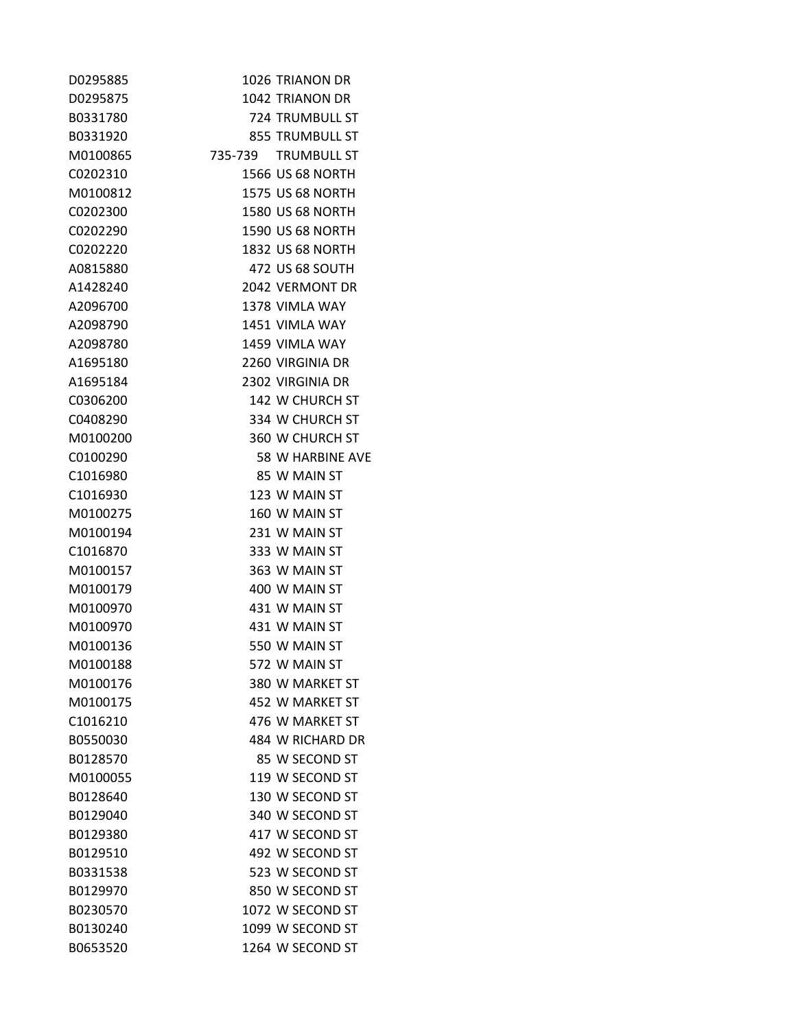| D0295885 | 1026 TRIANON DR         |
|----------|-------------------------|
| D0295875 | 1042 TRIANON DR         |
| B0331780 | 724 TRUMBULL ST         |
| B0331920 | 855 TRUMBULL ST         |
| M0100865 | 735-739 TRUMBULL ST     |
| C0202310 | 1566 US 68 NORTH        |
| M0100812 | <b>1575 US 68 NORTH</b> |
| C0202300 | <b>1580 US 68 NORTH</b> |
| C0202290 | <b>1590 US 68 NORTH</b> |
| C0202220 | <b>1832 US 68 NORTH</b> |
| A0815880 | 472 US 68 SOUTH         |
| A1428240 | 2042 VERMONT DR         |
| A2096700 | 1378 VIMLA WAY          |
| A2098790 | 1451 VIMLA WAY          |
| A2098780 | 1459 VIMLA WAY          |
| A1695180 | 2260 VIRGINIA DR        |
| A1695184 | 2302 VIRGINIA DR        |
| C0306200 | 142 W CHURCH ST         |
| C0408290 | 334 W CHURCH ST         |
| M0100200 | 360 W CHURCH ST         |
| C0100290 | 58 W HARBINE AVE        |
| C1016980 | 85 W MAIN ST            |
| C1016930 | 123 W MAIN ST           |
| M0100275 | 160 W MAIN ST           |
| M0100194 | 231 W MAIN ST           |
| C1016870 | 333 W MAIN ST           |
| M0100157 | 363 W MAIN ST           |
| M0100179 | 400 W MAIN ST           |
| M0100970 | 431 W MAIN ST           |
| M0100970 | 431 W MAIN ST           |
| M0100136 | 550 W MAIN ST           |
| M0100188 | 572 W MAIN ST           |
| M0100176 | 380 W MARKET ST         |
| M0100175 | 452 W MARKET ST         |
| C1016210 | 476 W MARKET ST         |
| B0550030 | 484 W RICHARD DR        |
| B0128570 | 85 W SECOND ST          |
| M0100055 | 119 W SECOND ST         |
| B0128640 | 130 W SECOND ST         |
| B0129040 | 340 W SECOND ST         |
| B0129380 | 417 W SECOND ST         |
| B0129510 | 492 W SECOND ST         |
| B0331538 | 523 W SECOND ST         |
| B0129970 | 850 W SECOND ST         |
| B0230570 | 1072 W SECOND ST        |
| B0130240 | 1099 W SECOND ST        |
| B0653520 | 1264 W SECOND ST        |